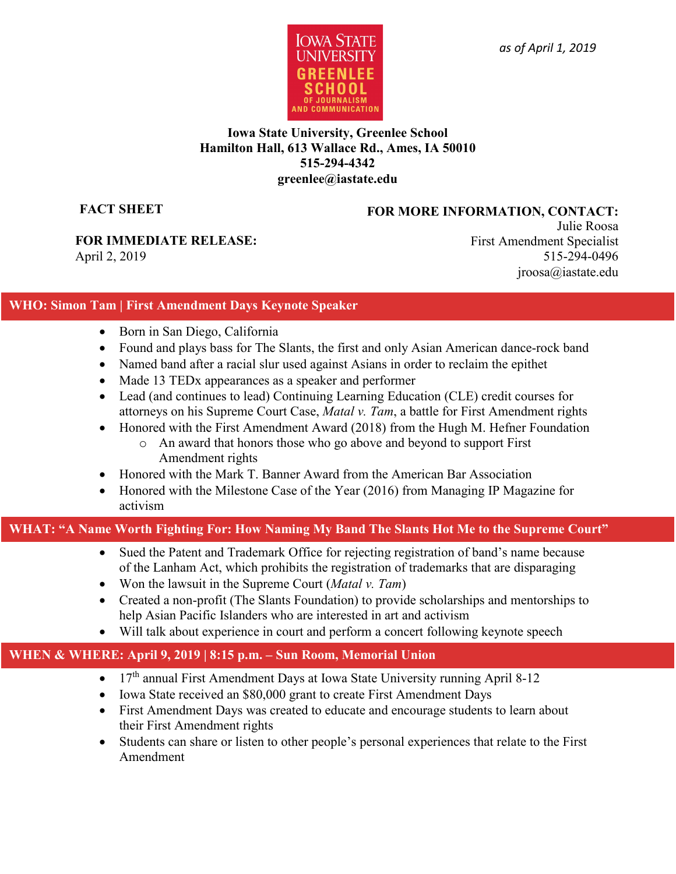

#### **Iowa State University, Greenlee School Hamilton Hall, 613 Wallace Rd., Ames, IA 50010 515-294-4342 greenlee@iastate.edu**

**FACT SHEET**

#### **FOR MORE INFORMATION, CONTACT:**

**FOR IMMEDIATE RELEASE:**  April 2, 2019

Julie Roosa First Amendment Specialist 515-294-0496 jroosa@iastate.edu

### **WHO: Simon Tam | First Amendment Days Keynote Speaker**

- Born in San Diego, California
- Found and plays bass for The Slants, the first and only Asian American dance-rock band
- Named band after a racial slur used against Asians in order to reclaim the epithet
- Made 13 TED<sub>x</sub> appearances as a speaker and performer
- Lead (and continues to lead) Continuing Learning Education (CLE) credit courses for attorneys on his Supreme Court Case, *Matal v. Tam*, a battle for First Amendment rights
- Honored with the First Amendment Award (2018) from the Hugh M. Hefner Foundation
	- o An award that honors those who go above and beyond to support First Amendment rights
- Honored with the Mark T. Banner Award from the American Bar Association
- Honored with the Milestone Case of the Year (2016) from Managing IP Magazine for activism

## **WHAT: "A Name Worth Fighting For: How Naming My Band The Slants Hot Me to the Supreme Court"**

- Sued the Patent and Trademark Office for rejecting registration of band's name because of the Lanham Act, which prohibits the registration of trademarks that are disparaging
- Won the lawsuit in the Supreme Court (*Matal v. Tam*)
- Created a non-profit (The Slants Foundation) to provide scholarships and mentorships to help Asian Pacific Islanders who are interested in art and activism
- Will talk about experience in court and perform a concert following keynote speech

# **WHEN & WHERE: April 9, 2019 | 8:15 p.m. – Sun Room, Memorial Union**

- 17<sup>th</sup> annual First Amendment Days at Iowa State University running April 8-12
- Iowa State received an \$80,000 grant to create First Amendment Days
- First Amendment Days was created to educate and encourage students to learn about their First Amendment rights
- Students can share or listen to other people's personal experiences that relate to the First Amendment